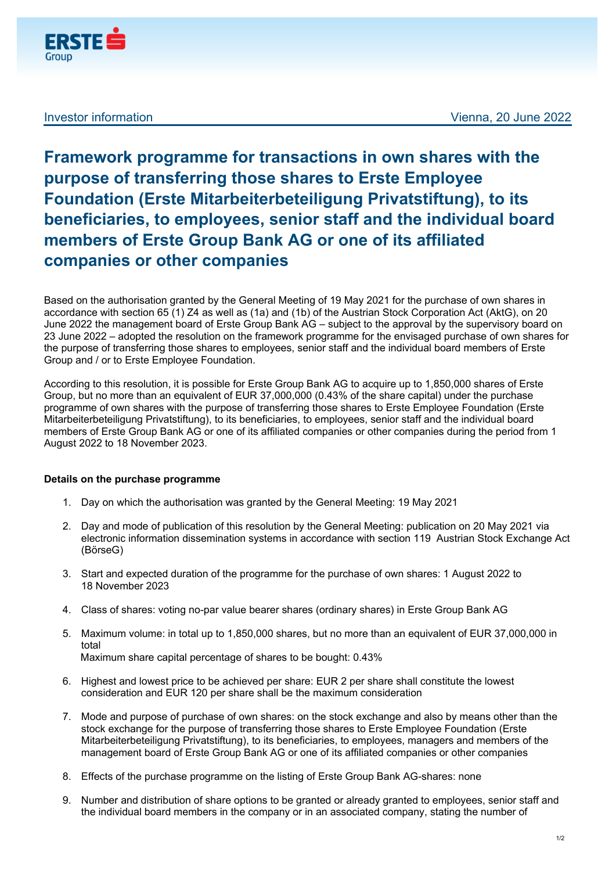

## **Framework programme for transactions in own shares with the purpose of transferring those shares to Erste Employee Foundation (Erste Mitarbeiterbeteiligung Privatstiftung), to its beneficiaries, to employees, senior staff and the individual board members of Erste Group Bank AG or one of its affiliated companies or other companies**

Based on the authorisation granted by the General Meeting of 19 May 2021 for the purchase of own shares in accordance with section 65 (1) Z4 as well as (1a) and (1b) of the Austrian Stock Corporation Act (AktG), on 20 June 2022 the management board of Erste Group Bank AG – subject to the approval by the supervisory board on 23 June 2022 – adopted the resolution on the framework programme for the envisaged purchase of own shares for the purpose of transferring those shares to employees, senior staff and the individual board members of Erste Group and / or to Erste Employee Foundation.

According to this resolution, it is possible for Erste Group Bank AG to acquire up to 1,850,000 shares of Erste Group, but no more than an equivalent of EUR 37,000,000 (0.43% of the share capital) under the purchase programme of own shares with the purpose of transferring those shares to Erste Employee Foundation (Erste Mitarbeiterbeteiligung Privatstiftung), to its beneficiaries, to employees, senior staff and the individual board members of Erste Group Bank AG or one of its affiliated companies or other companies during the period from 1 August 2022 to 18 November 2023.

## **Details on the purchase programme**

- 1. Day on which the authorisation was granted by the General Meeting: 19 May 2021
- 2. Day and mode of publication of this resolution by the General Meeting: publication on 20 May 2021 via electronic information dissemination systems in accordance with section 119 Austrian Stock Exchange Act (BörseG)
- 3. Start and expected duration of the programme for the purchase of own shares: 1 August 2022 to 18 November 2023
- 4. Class of shares: voting no-par value bearer shares (ordinary shares) in Erste Group Bank AG
- 5. Maximum volume: in total up to 1,850,000 shares, but no more than an equivalent of EUR 37,000,000 in total

Maximum share capital percentage of shares to be bought: 0.43%

- 6. Highest and lowest price to be achieved per share: EUR 2 per share shall constitute the lowest consideration and EUR 120 per share shall be the maximum consideration
- 7. Mode and purpose of purchase of own shares: on the stock exchange and also by means other than the stock exchange for the purpose of transferring those shares to Erste Employee Foundation (Erste Mitarbeiterbeteiligung Privatstiftung), to its beneficiaries, to employees, managers and members of the management board of Erste Group Bank AG or one of its affiliated companies or other companies
- 8. Effects of the purchase programme on the listing of Erste Group Bank AG-shares: none
- 9. Number and distribution of share options to be granted or already granted to employees, senior staff and the individual board members in the company or in an associated company, stating the number of